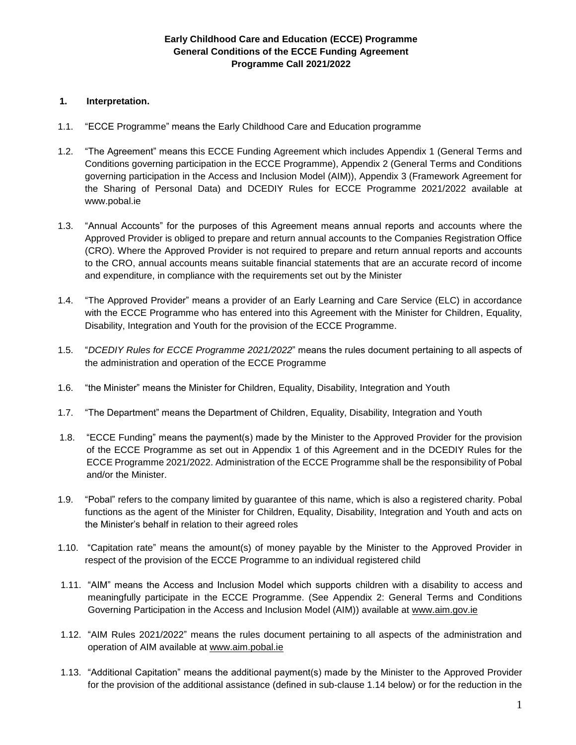# **Early Childhood Care and Education (ECCE) Programme General Conditions of the ECCE Funding Agreement Programme Call 2021/2022**

# **1. Interpretation.**

- 1.1. "ECCE Programme" means the Early Childhood Care and Education programme
- 1.2. "The Agreement" means this ECCE Funding Agreement which includes Appendix 1 (General Terms and Conditions governing participation in the ECCE Programme), Appendix 2 (General Terms and Conditions governing participation in the Access and Inclusion Model (AIM)), Appendix 3 (Framework Agreement for the Sharing of Personal Data) and DCEDIY Rules for ECCE Programme 2021/2022 available at www.pobal.ie
- 1.3. "Annual Accounts" for the purposes of this Agreement means annual reports and accounts where the Approved Provider is obliged to prepare and return annual accounts to the Companies Registration Office (CRO). Where the Approved Provider is not required to prepare and return annual reports and accounts to the CRO, annual accounts means suitable financial statements that are an accurate record of income and expenditure, in compliance with the requirements set out by the Minister
- 1.4. "The Approved Provider" means a provider of an Early Learning and Care Service (ELC) in accordance with the ECCE Programme who has entered into this Agreement with the Minister for Children, Equality, Disability, Integration and Youth for the provision of the ECCE Programme.
- 1.5. "*DCEDIY Rules for ECCE Programme 2021/2022*" means the rules document pertaining to all aspects of the administration and operation of the ECCE Programme
- 1.6. "the Minister" means the Minister for Children, Equality, Disability, Integration and Youth
- 1.7. "The Department" means the Department of Children, Equality, Disability, Integration and Youth
- 1.8. "ECCE Funding" means the payment(s) made by the Minister to the Approved Provider for the provision of the ECCE Programme as set out in Appendix 1 of this Agreement and in the DCEDIY Rules for the ECCE Programme 2021/2022. Administration of the ECCE Programme shall be the responsibility of Pobal and/or the Minister.
- 1.9. "Pobal" refers to the company limited by guarantee of this name, which is also a registered charity. Pobal functions as the agent of the Minister for Children, Equality, Disability, Integration and Youth and acts on the Minister's behalf in relation to their agreed roles
- 1.10. "Capitation rate" means the amount(s) of money payable by the Minister to the Approved Provider in respect of the provision of the ECCE Programme to an individual registered child
- 1.11. "AIM" means the Access and Inclusion Model which supports children with a disability to access and meaningfully participate in the ECCE Programme. (See Appendix 2: General Terms and Conditions Governing Participation in the Access and Inclusion Model (AIM)) available at [www.aim.gov.ie](http://www.aim.gov.ie/)
- 1.12. "AIM Rules 2021/2022" means the rules document pertaining to all aspects of the administration and operation of AIM available at [www.aim.pobal.ie](http://www.aim.pobal.ie/)
- 1.13. "Additional Capitation" means the additional payment(s) made by the Minister to the Approved Provider for the provision of the additional assistance (defined in sub-clause 1.14 below) or for the reduction in the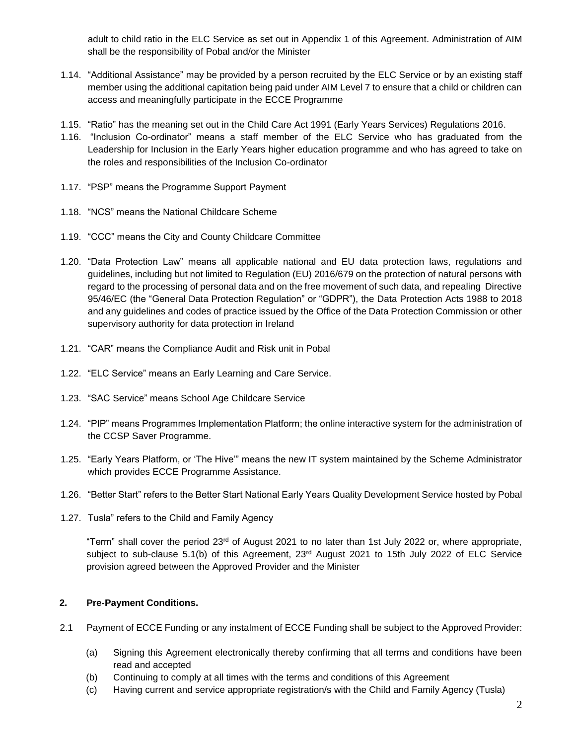adult to child ratio in the ELC Service as set out in Appendix 1 of this Agreement. Administration of AIM shall be the responsibility of Pobal and/or the Minister

- 1.14. "Additional Assistance" may be provided by a person recruited by the ELC Service or by an existing staff member using the additional capitation being paid under AIM Level 7 to ensure that a child or children can access and meaningfully participate in the ECCE Programme
- 1.15. "Ratio" has the meaning set out in the Child Care Act 1991 (Early Years Services) Regulations 2016.
- 1.16. "Inclusion Co-ordinator" means a staff member of the ELC Service who has graduated from the Leadership for Inclusion in the Early Years higher education programme and who has agreed to take on the roles and responsibilities of the Inclusion Co-ordinator
- 1.17. "PSP" means the Programme Support Payment
- 1.18. "NCS" means the National Childcare Scheme
- 1.19. "CCC" means the City and County Childcare Committee
- 1.20. "Data Protection Law" means all applicable national and EU data protection laws, regulations and guidelines, including but not limited to Regulation (EU) 2016/679 on the protection of natural persons with regard to the processing of personal data and on the free movement of such data, and repealing Directive 95/46/EC (the "General Data Protection Regulation" or "GDPR"), the Data Protection Acts 1988 to 2018 and any guidelines and codes of practice issued by the Office of the Data Protection Commission or other supervisory authority for data protection in Ireland
- 1.21. "CAR" means the Compliance Audit and Risk unit in Pobal
- 1.22. "ELC Service" means an Early Learning and Care Service.
- 1.23. "SAC Service" means School Age Childcare Service
- 1.24. "PIP" means Programmes Implementation Platform; the online interactive system for the administration of the CCSP Saver Programme.
- 1.25. "Early Years Platform, or 'The Hive'" means the new IT system maintained by the Scheme Administrator which provides ECCE Programme Assistance.
- 1.26. "Better Start" refers to the Better Start National Early Years Quality Development Service hosted by Pobal
- 1.27. Tusla" refers to the Child and Family Agency

"Term" shall cover the period 23rd of August 2021 to no later than 1st July 2022 or, where appropriate, subject to sub-clause 5.1(b) of this Agreement, 23<sup>rd</sup> August 2021 to 15th July 2022 of ELC Service provision agreed between the Approved Provider and the Minister

# **2. Pre-Payment Conditions.**

- 2.1 Payment of ECCE Funding or any instalment of ECCE Funding shall be subject to the Approved Provider:
	- (a) Signing this Agreement electronically thereby confirming that all terms and conditions have been read and accepted
	- (b) Continuing to comply at all times with the terms and conditions of this Agreement
	- (c) Having current and service appropriate registration/s with the Child and Family Agency (Tusla)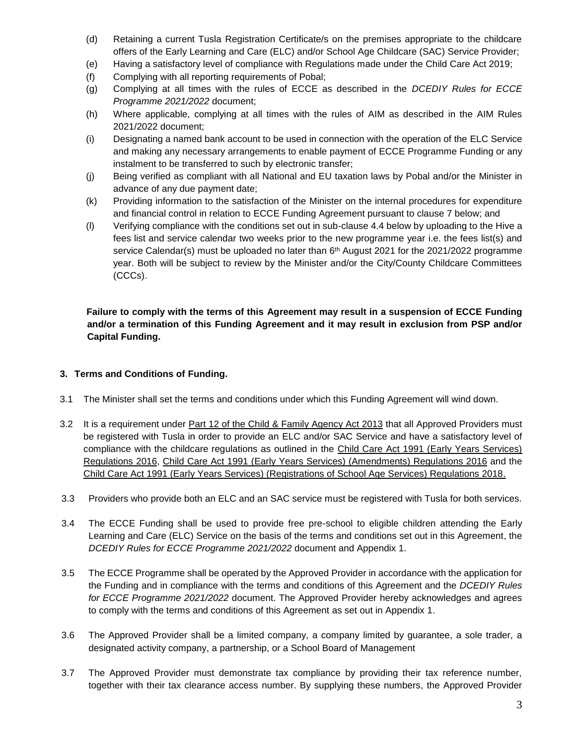- (d) Retaining a current Tusla Registration Certificate/s on the premises appropriate to the childcare offers of the Early Learning and Care (ELC) and/or School Age Childcare (SAC) Service Provider;
- (e) Having a satisfactory level of compliance with Regulations made under the Child Care Act 2019;
- (f) Complying with all reporting requirements of Pobal;
- (g) Complying at all times with the rules of ECCE as described in the *DCEDIY Rules for ECCE Programme 2021/2022* document;
- (h) Where applicable, complying at all times with the rules of AIM as described in the AIM Rules 2021/2022 document;
- (i) Designating a named bank account to be used in connection with the operation of the ELC Service and making any necessary arrangements to enable payment of ECCE Programme Funding or any instalment to be transferred to such by electronic transfer;
- (j) Being verified as compliant with all National and EU taxation laws by Pobal and/or the Minister in advance of any due payment date;
- (k) Providing information to the satisfaction of the Minister on the internal procedures for expenditure and financial control in relation to ECCE Funding Agreement pursuant to clause 7 below; and
- (l) Verifying compliance with the conditions set out in sub-clause 4.4 below by uploading to the Hive a fees list and service calendar two weeks prior to the new programme year i.e. the fees list(s) and service Calendar(s) must be uploaded no later than 6<sup>th</sup> August 2021 for the 2021/2022 programme year. Both will be subject to review by the Minister and/or the City/County Childcare Committees (CCCs).

**Failure to comply with the terms of this Agreement may result in a suspension of ECCE Funding and/or a termination of this Funding Agreement and it may result in exclusion from PSP and/or Capital Funding.**

## **3. Terms and Conditions of Funding.**

- 3.1 The Minister shall set the terms and conditions under which this Funding Agreement will wind down.
- 3.2 It is a requirement under [Part 12 of the Child & Family Agency Act 2013](https://www.tusla.ie/uploads/content/Part_VIIA_Amendment_to_Child_Care_Act_19991_(Part_12_Child_and_Family_Agency_Act_2013).pdf) that all Approved Providers must be registered with Tusla in order to provide an ELC and/or SAC Service and have a satisfactory level of compliance with the childcare regulations as outlined in the [Child Care Act 1991 \(Early Years Services\)](https://www.tusla.ie/uploads/content/20160510ChildCareActEarlyYrsRegs2016SI221of2016.pdf)  [Regulations 2016,](https://www.tusla.ie/uploads/content/20160510ChildCareActEarlyYrsRegs2016SI221of2016.pdf) [Child Care Act 1991 \(Early Years Services\) \(Amendments\) Regulations 2016](https://www.tusla.ie/uploads/content/Stamped_copy_of_amended_Regs.pdf) and the [Child Care Act 1991 \(Early Years Services\) \(Registrations of School Age Services\) Regulations 2018.](https://assets.gov.ie/34530/e3b494f0f9e8489398dbc13782a15ef3.pdf)
- 3.3 Providers who provide both an ELC and an SAC service must be registered with Tusla for both services.
- 3.4 The ECCE Funding shall be used to provide free pre-school to eligible children attending the Early Learning and Care (ELC) Service on the basis of the terms and conditions set out in this Agreement, the *DCEDIY Rules for ECCE Programme 2021/2022* document and Appendix 1.
- 3.5 The ECCE Programme shall be operated by the Approved Provider in accordance with the application for the Funding and in compliance with the terms and conditions of this Agreement and the *DCEDIY Rules for ECCE Programme 2021/2022* document. The Approved Provider hereby acknowledges and agrees to comply with the terms and conditions of this Agreement as set out in Appendix 1.
- 3.6 The Approved Provider shall be a limited company, a company limited by guarantee, a sole trader, a designated activity company, a partnership, or a School Board of Management
- 3.7 The Approved Provider must demonstrate tax compliance by providing their tax reference number, together with their tax clearance access number. By supplying these numbers, the Approved Provider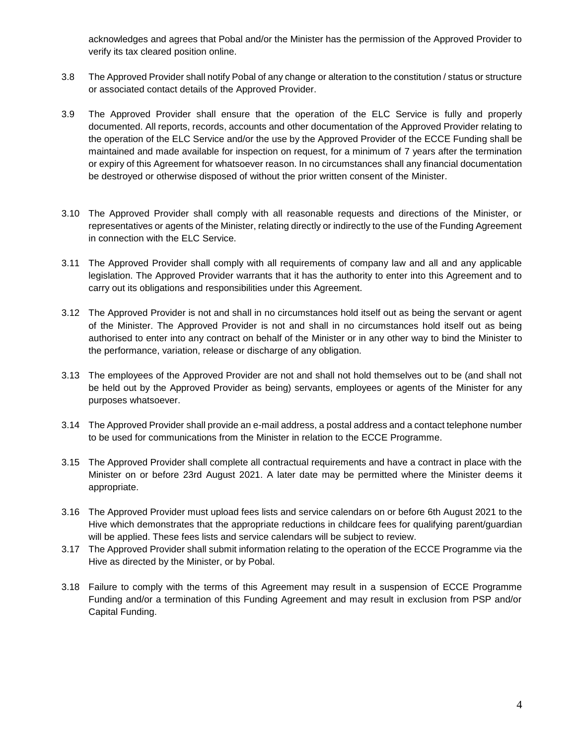acknowledges and agrees that Pobal and/or the Minister has the permission of the Approved Provider to verify its tax cleared position online.

- 3.8 The Approved Provider shall notify Pobal of any change or alteration to the constitution / status or structure or associated contact details of the Approved Provider.
- 3.9 The Approved Provider shall ensure that the operation of the ELC Service is fully and properly documented. All reports, records, accounts and other documentation of the Approved Provider relating to the operation of the ELC Service and/or the use by the Approved Provider of the ECCE Funding shall be maintained and made available for inspection on request, for a minimum of 7 years after the termination or expiry of this Agreement for whatsoever reason. In no circumstances shall any financial documentation be destroyed or otherwise disposed of without the prior written consent of the Minister.
- 3.10 The Approved Provider shall comply with all reasonable requests and directions of the Minister, or representatives or agents of the Minister, relating directly or indirectly to the use of the Funding Agreement in connection with the ELC Service.
- 3.11 The Approved Provider shall comply with all requirements of company law and all and any applicable legislation. The Approved Provider warrants that it has the authority to enter into this Agreement and to carry out its obligations and responsibilities under this Agreement.
- 3.12 The Approved Provider is not and shall in no circumstances hold itself out as being the servant or agent of the Minister. The Approved Provider is not and shall in no circumstances hold itself out as being authorised to enter into any contract on behalf of the Minister or in any other way to bind the Minister to the performance, variation, release or discharge of any obligation.
- 3.13 The employees of the Approved Provider are not and shall not hold themselves out to be (and shall not be held out by the Approved Provider as being) servants, employees or agents of the Minister for any purposes whatsoever.
- 3.14 The Approved Provider shall provide an e-mail address, a postal address and a contact telephone number to be used for communications from the Minister in relation to the ECCE Programme.
- 3.15 The Approved Provider shall complete all contractual requirements and have a contract in place with the Minister on or before 23rd August 2021. A later date may be permitted where the Minister deems it appropriate.
- 3.16 The Approved Provider must upload fees lists and service calendars on or before 6th August 2021 to the Hive which demonstrates that the appropriate reductions in childcare fees for qualifying parent/guardian will be applied. These fees lists and service calendars will be subject to review.
- 3.17 The Approved Provider shall submit information relating to the operation of the ECCE Programme via the Hive as directed by the Minister, or by Pobal.
- 3.18 Failure to comply with the terms of this Agreement may result in a suspension of ECCE Programme Funding and/or a termination of this Funding Agreement and may result in exclusion from PSP and/or Capital Funding.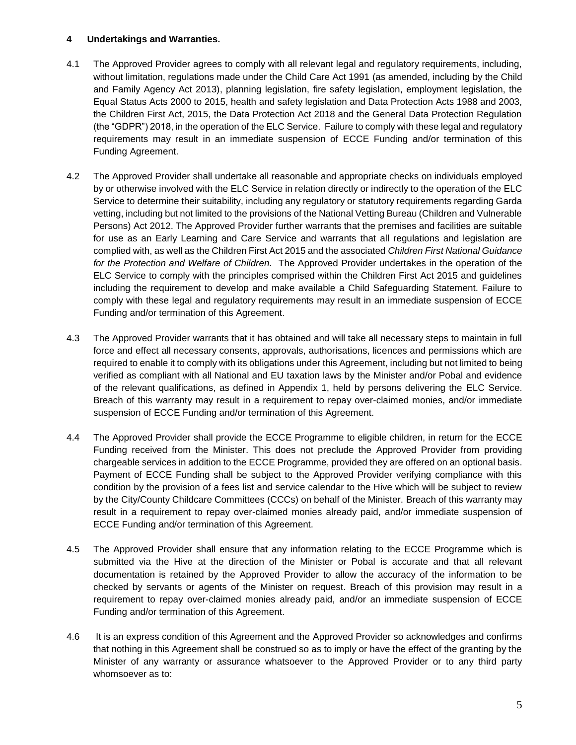# **4 Undertakings and Warranties.**

- 4.1 The Approved Provider agrees to comply with all relevant legal and regulatory requirements, including, without limitation, regulations made under the Child Care Act 1991 (as amended, including by the Child and Family Agency Act 2013), planning legislation, fire safety legislation, employment legislation, the Equal Status Acts 2000 to 2015, health and safety legislation and Data Protection Acts 1988 and 2003, the Children First Act, 2015, the Data Protection Act 2018 and the General Data Protection Regulation (the "GDPR") 2018, in the operation of the ELC Service. Failure to comply with these legal and regulatory requirements may result in an immediate suspension of ECCE Funding and/or termination of this Funding Agreement.
- 4.2 The Approved Provider shall undertake all reasonable and appropriate checks on individuals employed by or otherwise involved with the ELC Service in relation directly or indirectly to the operation of the ELC Service to determine their suitability, including any regulatory or statutory requirements regarding Garda vetting, including but not limited to the provisions of the National Vetting Bureau (Children and Vulnerable Persons) Act 2012. The Approved Provider further warrants that the premises and facilities are suitable for use as an Early Learning and Care Service and warrants that all regulations and legislation are complied with, as well as the Children First Act 2015 and the associated *Children First National Guidance for the Protection and Welfare of Children.* The Approved Provider undertakes in the operation of the ELC Service to comply with the principles comprised within the Children First Act 2015 and guidelines including the requirement to develop and make available a Child Safeguarding Statement. Failure to comply with these legal and regulatory requirements may result in an immediate suspension of ECCE Funding and/or termination of this Agreement.
- 4.3 The Approved Provider warrants that it has obtained and will take all necessary steps to maintain in full force and effect all necessary consents, approvals, authorisations, licences and permissions which are required to enable it to comply with its obligations under this Agreement, including but not limited to being verified as compliant with all National and EU taxation laws by the Minister and/or Pobal and evidence of the relevant qualifications, as defined in Appendix 1, held by persons delivering the ELC Service. Breach of this warranty may result in a requirement to repay over-claimed monies, and/or immediate suspension of ECCE Funding and/or termination of this Agreement.
- 4.4 The Approved Provider shall provide the ECCE Programme to eligible children, in return for the ECCE Funding received from the Minister. This does not preclude the Approved Provider from providing chargeable services in addition to the ECCE Programme, provided they are offered on an optional basis. Payment of ECCE Funding shall be subject to the Approved Provider verifying compliance with this condition by the provision of a fees list and service calendar to the Hive which will be subject to review by the City/County Childcare Committees (CCCs) on behalf of the Minister. Breach of this warranty may result in a requirement to repay over-claimed monies already paid, and/or immediate suspension of ECCE Funding and/or termination of this Agreement.
- 4.5 The Approved Provider shall ensure that any information relating to the ECCE Programme which is submitted via the Hive at the direction of the Minister or Pobal is accurate and that all relevant documentation is retained by the Approved Provider to allow the accuracy of the information to be checked by servants or agents of the Minister on request. Breach of this provision may result in a requirement to repay over-claimed monies already paid, and/or an immediate suspension of ECCE Funding and/or termination of this Agreement.
- 4.6 It is an express condition of this Agreement and the Approved Provider so acknowledges and confirms that nothing in this Agreement shall be construed so as to imply or have the effect of the granting by the Minister of any warranty or assurance whatsoever to the Approved Provider or to any third party whomsoever as to: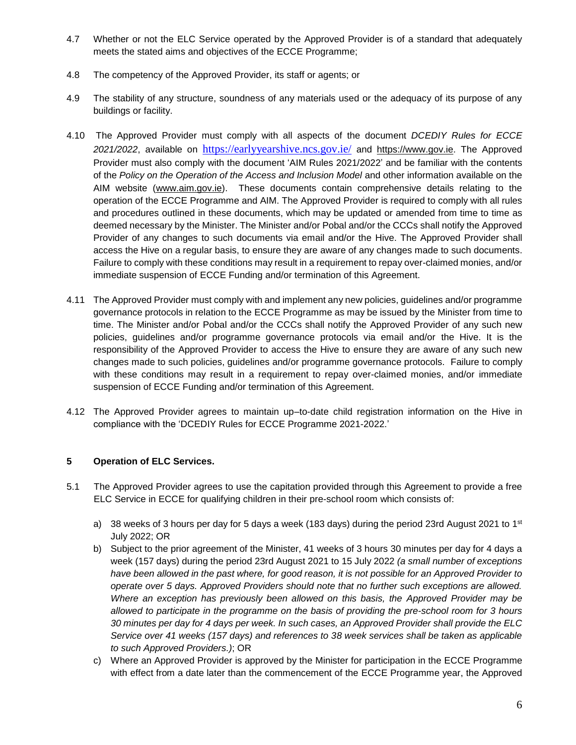- 4.7 Whether or not the ELC Service operated by the Approved Provider is of a standard that adequately meets the stated aims and objectives of the ECCE Programme;
- 4.8 The competency of the Approved Provider, its staff or agents; or
- 4.9 The stability of any structure, soundness of any materials used or the adequacy of its purpose of any buildings or facility.
- 4.10 The Approved Provider must comply with all aspects of the document *DCEDIY Rules for ECCE 2021/2022*, available on <https://earlyyearshive.ncs.gov.ie/> and [https://www.gov.ie.](https://www.gov.ie/en/publication/2459ee-early-childhood-care-and-education-programme-ecce/) The Approved Provider must also comply with the document 'AIM Rules 2021/2022' and be familiar with the contents of the *Policy on the Operation of the Access and Inclusion Model* and other information available on the AIM website [\(www.aim.gov.ie\)](http://www.aim.gov.ie/). These documents contain comprehensive details relating to the operation of the ECCE Programme and AIM. The Approved Provider is required to comply with all rules and procedures outlined in these documents, which may be updated or amended from time to time as deemed necessary by the Minister. The Minister and/or Pobal and/or the CCCs shall notify the Approved Provider of any changes to such documents via email and/or the Hive. The Approved Provider shall access the Hive on a regular basis, to ensure they are aware of any changes made to such documents. Failure to comply with these conditions may result in a requirement to repay over-claimed monies, and/or immediate suspension of ECCE Funding and/or termination of this Agreement.
- 4.11 The Approved Provider must comply with and implement any new policies, guidelines and/or programme governance protocols in relation to the ECCE Programme as may be issued by the Minister from time to time. The Minister and/or Pobal and/or the CCCs shall notify the Approved Provider of any such new policies, guidelines and/or programme governance protocols via email and/or the Hive. It is the responsibility of the Approved Provider to access the Hive to ensure they are aware of any such new changes made to such policies, guidelines and/or programme governance protocols. Failure to comply with these conditions may result in a requirement to repay over-claimed monies, and/or immediate suspension of ECCE Funding and/or termination of this Agreement.
- 4.12 The Approved Provider agrees to maintain up–to-date child registration information on the Hive in compliance with the 'DCEDIY Rules for ECCE Programme 2021-2022.'

# **5 Operation of ELC Services.**

- 5.1 The Approved Provider agrees to use the capitation provided through this Agreement to provide a free ELC Service in ECCE for qualifying children in their pre-school room which consists of:
	- a) 38 weeks of 3 hours per day for 5 days a week (183 days) during the period 23rd August 2021 to 1st July 2022; OR
	- b) Subject to the prior agreement of the Minister, 41 weeks of 3 hours 30 minutes per day for 4 days a week (157 days) during the period 23rd August 2021 to 15 July 2022 *(a small number of exceptions have been allowed in the past where, for good reason, it is not possible for an Approved Provider to operate over 5 days. Approved Providers should note that no further such exceptions are allowed. Where an exception has previously been allowed on this basis, the Approved Provider may be allowed to participate in the programme on the basis of providing the pre-school room for 3 hours 30 minutes per day for 4 days per week. In such cases, an Approved Provider shall provide the ELC Service over 41 weeks (157 days) and references to 38 week services shall be taken as applicable to such Approved Providers.)*; OR
	- c) Where an Approved Provider is approved by the Minister for participation in the ECCE Programme with effect from a date later than the commencement of the ECCE Programme year, the Approved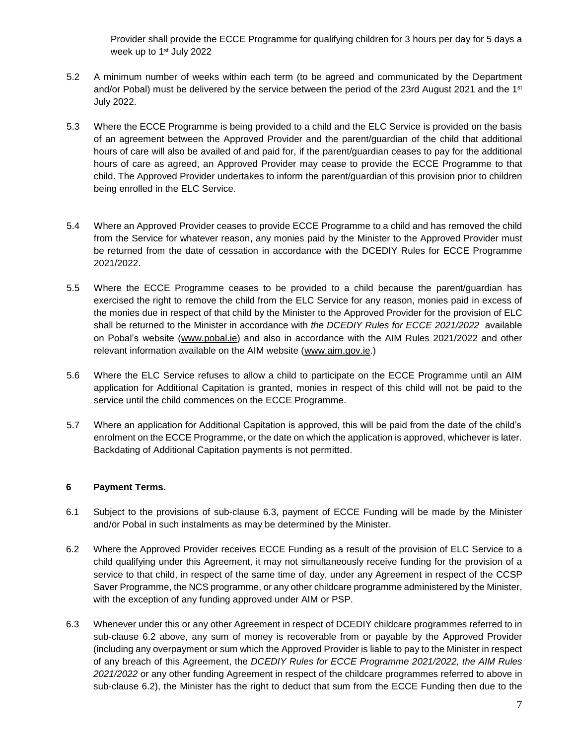Provider shall provide the ECCE Programme for qualifying children for 3 hours per day for 5 days a week up to 1<sup>st</sup> July 2022

- 5.2 A minimum number of weeks within each term (to be agreed and communicated by the Department and/or Pobal) must be delivered by the service between the period of the 23rd August 2021 and the 1<sup>st</sup> July 2022.
- 5.3 Where the ECCE Programme is being provided to a child and the ELC Service is provided on the basis of an agreement between the Approved Provider and the parent/guardian of the child that additional hours of care will also be availed of and paid for, if the parent/guardian ceases to pay for the additional hours of care as agreed, an Approved Provider may cease to provide the ECCE Programme to that child. The Approved Provider undertakes to inform the parent/guardian of this provision prior to children being enrolled in the ELC Service.
- 5.4 Where an Approved Provider ceases to provide ECCE Programme to a child and has removed the child from the Service for whatever reason, any monies paid by the Minister to the Approved Provider must be returned from the date of cessation in accordance with the DCEDIY Rules for ECCE Programme 2021/2022.
- 5.5 Where the ECCE Programme ceases to be provided to a child because the parent/guardian has exercised the right to remove the child from the ELC Service for any reason, monies paid in excess of the monies due in respect of that child by the Minister to the Approved Provider for the provision of ELC shall be returned to the Minister in accordance with *the DCEDIY Rules for ECCE 2021/2022* available on Pobal's website [\(www.pobal.ie\)](http://www.pobal.ie/) and also in accordance with the AIM Rules 2021/2022 and other relevant information available on the AIM website [\(www.aim.gov.ie.](http://www.aim.gov.ie/))
- 5.6 Where the ELC Service refuses to allow a child to participate on the ECCE Programme until an AIM application for Additional Capitation is granted, monies in respect of this child will not be paid to the service until the child commences on the ECCE Programme.
- 5.7 Where an application for Additional Capitation is approved, this will be paid from the date of the child's enrolment on the ECCE Programme, or the date on which the application is approved, whichever is later. Backdating of Additional Capitation payments is not permitted.

# **6 Payment Terms.**

- 6.1 Subject to the provisions of sub-clause 6.3, payment of ECCE Funding will be made by the Minister and/or Pobal in such instalments as may be determined by the Minister.
- 6.2 Where the Approved Provider receives ECCE Funding as a result of the provision of ELC Service to a child qualifying under this Agreement, it may not simultaneously receive funding for the provision of a service to that child, in respect of the same time of day, under any Agreement in respect of the CCSP Saver Programme, the NCS programme, or any other childcare programme administered by the Minister, with the exception of any funding approved under AIM or PSP.
- 6.3 Whenever under this or any other Agreement in respect of DCEDIY childcare programmes referred to in sub-clause 6.2 above, any sum of money is recoverable from or payable by the Approved Provider (including any overpayment or sum which the Approved Provider is liable to pay to the Minister in respect of any breach of this Agreement, the *DCEDIY Rules for ECCE Programme 2021/2022, the AIM Rules 2021/2022* or any other funding Agreement in respect of the childcare programmes referred to above in sub-clause 6.2), the Minister has the right to deduct that sum from the ECCE Funding then due to the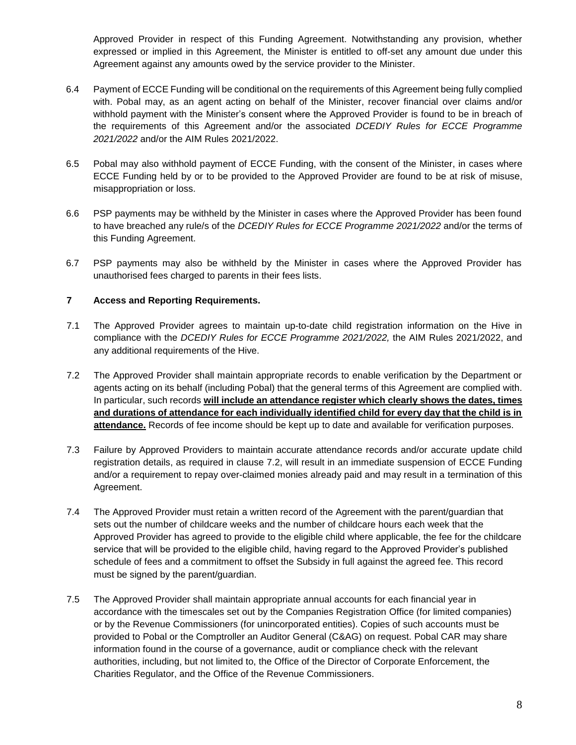Approved Provider in respect of this Funding Agreement. Notwithstanding any provision, whether expressed or implied in this Agreement, the Minister is entitled to off-set any amount due under this Agreement against any amounts owed by the service provider to the Minister.

- 6.4 Payment of ECCE Funding will be conditional on the requirements of this Agreement being fully complied with. Pobal may, as an agent acting on behalf of the Minister, recover financial over claims and/or withhold payment with the Minister's consent where the Approved Provider is found to be in breach of the requirements of this Agreement and/or the associated *DCEDIY Rules for ECCE Programme 2021/2022* and/or the AIM Rules 2021/2022.
- 6.5 Pobal may also withhold payment of ECCE Funding, with the consent of the Minister, in cases where ECCE Funding held by or to be provided to the Approved Provider are found to be at risk of misuse, misappropriation or loss.
- 6.6 PSP payments may be withheld by the Minister in cases where the Approved Provider has been found to have breached any rule/s of the *DCEDIY Rules for ECCE Programme 2021/2022* and/or the terms of this Funding Agreement.
- 6.7 PSP payments may also be withheld by the Minister in cases where the Approved Provider has unauthorised fees charged to parents in their fees lists.

### **7 Access and Reporting Requirements.**

- 7.1 The Approved Provider agrees to maintain up-to-date child registration information on the Hive in compliance with the *DCEDIY Rules for ECCE Programme 2021/2022,* the AIM Rules 2021/2022, and any additional requirements of the Hive.
- 7.2 The Approved Provider shall maintain appropriate records to enable verification by the Department or agents acting on its behalf (including Pobal) that the general terms of this Agreement are complied with. In particular, such records **will include an attendance register which clearly shows the dates, times and durations of attendance for each individually identified child for every day that the child is in attendance.** Records of fee income should be kept up to date and available for verification purposes.
- 7.3 Failure by Approved Providers to maintain accurate attendance records and/or accurate update child registration details, as required in clause 7.2, will result in an immediate suspension of ECCE Funding and/or a requirement to repay over-claimed monies already paid and may result in a termination of this Agreement.
- 7.4 The Approved Provider must retain a written record of the Agreement with the parent/guardian that sets out the number of childcare weeks and the number of childcare hours each week that the Approved Provider has agreed to provide to the eligible child where applicable, the fee for the childcare service that will be provided to the eligible child, having regard to the Approved Provider's published schedule of fees and a commitment to offset the Subsidy in full against the agreed fee. This record must be signed by the parent/guardian.
- 7.5 The Approved Provider shall maintain appropriate annual accounts for each financial year in accordance with the timescales set out by the Companies Registration Office (for limited companies) or by the Revenue Commissioners (for unincorporated entities). Copies of such accounts must be provided to Pobal or the Comptroller an Auditor General (C&AG) on request. Pobal CAR may share information found in the course of a governance, audit or compliance check with the relevant authorities, including, but not limited to, the Office of the Director of Corporate Enforcement, the Charities Regulator, and the Office of the Revenue Commissioners.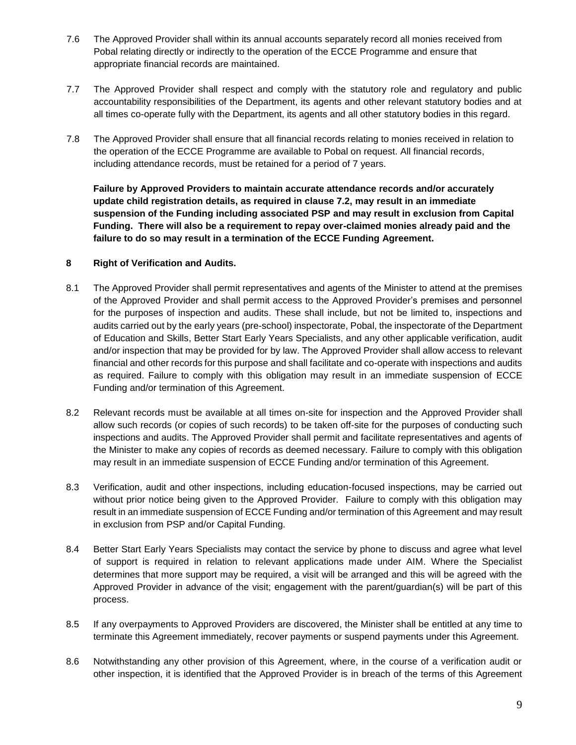- 7.6 The Approved Provider shall within its annual accounts separately record all monies received from Pobal relating directly or indirectly to the operation of the ECCE Programme and ensure that appropriate financial records are maintained.
- 7.7 The Approved Provider shall respect and comply with the statutory role and regulatory and public accountability responsibilities of the Department, its agents and other relevant statutory bodies and at all times co-operate fully with the Department, its agents and all other statutory bodies in this regard.
- 7.8 The Approved Provider shall ensure that all financial records relating to monies received in relation to the operation of the ECCE Programme are available to Pobal on request. All financial records, including attendance records, must be retained for a period of 7 years.

**Failure by Approved Providers to maintain accurate attendance records and/or accurately update child registration details, as required in clause 7.2, may result in an immediate suspension of the Funding including associated PSP and may result in exclusion from Capital Funding. There will also be a requirement to repay over-claimed monies already paid and the failure to do so may result in a termination of the ECCE Funding Agreement.**

## **8 Right of Verification and Audits.**

- 8.1 The Approved Provider shall permit representatives and agents of the Minister to attend at the premises of the Approved Provider and shall permit access to the Approved Provider's premises and personnel for the purposes of inspection and audits. These shall include, but not be limited to, inspections and audits carried out by the early years (pre-school) inspectorate, Pobal, the inspectorate of the Department of Education and Skills, Better Start Early Years Specialists, and any other applicable verification, audit and/or inspection that may be provided for by law. The Approved Provider shall allow access to relevant financial and other records for this purpose and shall facilitate and co-operate with inspections and audits as required. Failure to comply with this obligation may result in an immediate suspension of ECCE Funding and/or termination of this Agreement.
- 8.2 Relevant records must be available at all times on-site for inspection and the Approved Provider shall allow such records (or copies of such records) to be taken off-site for the purposes of conducting such inspections and audits. The Approved Provider shall permit and facilitate representatives and agents of the Minister to make any copies of records as deemed necessary. Failure to comply with this obligation may result in an immediate suspension of ECCE Funding and/or termination of this Agreement.
- 8.3 Verification, audit and other inspections, including education-focused inspections, may be carried out without prior notice being given to the Approved Provider. Failure to comply with this obligation may result in an immediate suspension of ECCE Funding and/or termination of this Agreement and may result in exclusion from PSP and/or Capital Funding.
- 8.4 Better Start Early Years Specialists may contact the service by phone to discuss and agree what level of support is required in relation to relevant applications made under AIM. Where the Specialist determines that more support may be required, a visit will be arranged and this will be agreed with the Approved Provider in advance of the visit; engagement with the parent/guardian(s) will be part of this process.
- 8.5 If any overpayments to Approved Providers are discovered, the Minister shall be entitled at any time to terminate this Agreement immediately, recover payments or suspend payments under this Agreement.
- 8.6 Notwithstanding any other provision of this Agreement, where, in the course of a verification audit or other inspection, it is identified that the Approved Provider is in breach of the terms of this Agreement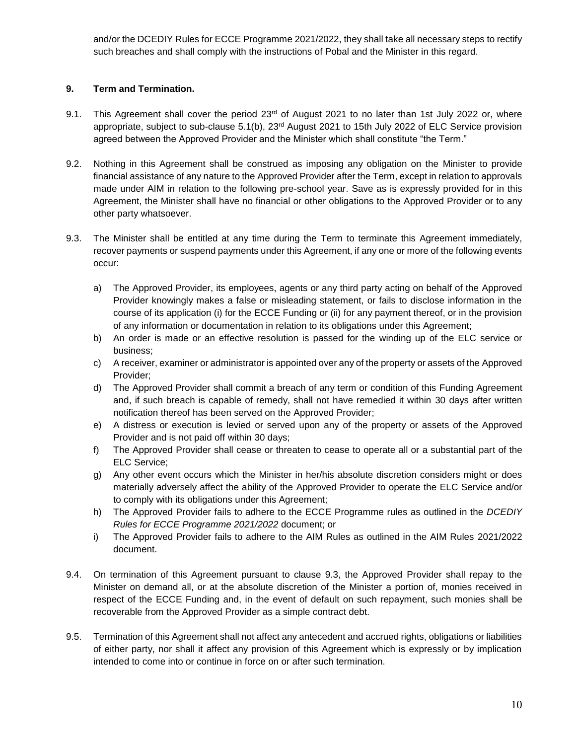and/or the DCEDIY Rules for ECCE Programme 2021/2022, they shall take all necessary steps to rectify such breaches and shall comply with the instructions of Pobal and the Minister in this regard.

# **9. Term and Termination.**

- 9.1. This Agreement shall cover the period 23<sup>rd</sup> of August 2021 to no later than 1st July 2022 or, where appropriate, subject to sub-clause 5.1(b), 23<sup>rd</sup> August 2021 to 15th July 2022 of ELC Service provision agreed between the Approved Provider and the Minister which shall constitute "the Term."
- 9.2. Nothing in this Agreement shall be construed as imposing any obligation on the Minister to provide financial assistance of any nature to the Approved Provider after the Term, except in relation to approvals made under AIM in relation to the following pre-school year. Save as is expressly provided for in this Agreement, the Minister shall have no financial or other obligations to the Approved Provider or to any other party whatsoever.
- 9.3. The Minister shall be entitled at any time during the Term to terminate this Agreement immediately, recover payments or suspend payments under this Agreement, if any one or more of the following events occur:
	- a) The Approved Provider, its employees, agents or any third party acting on behalf of the Approved Provider knowingly makes a false or misleading statement, or fails to disclose information in the course of its application (i) for the ECCE Funding or (ii) for any payment thereof, or in the provision of any information or documentation in relation to its obligations under this Agreement;
	- b) An order is made or an effective resolution is passed for the winding up of the ELC service or business;
	- c) A receiver, examiner or administrator is appointed over any of the property or assets of the Approved Provider;
	- d) The Approved Provider shall commit a breach of any term or condition of this Funding Agreement and, if such breach is capable of remedy, shall not have remedied it within 30 days after written notification thereof has been served on the Approved Provider;
	- e) A distress or execution is levied or served upon any of the property or assets of the Approved Provider and is not paid off within 30 days;
	- f) The Approved Provider shall cease or threaten to cease to operate all or a substantial part of the ELC Service;
	- g) Any other event occurs which the Minister in her/his absolute discretion considers might or does materially adversely affect the ability of the Approved Provider to operate the ELC Service and/or to comply with its obligations under this Agreement;
	- h) The Approved Provider fails to adhere to the ECCE Programme rules as outlined in the *DCEDIY Rules for ECCE Programme 2021/2022* document; or
	- i) The Approved Provider fails to adhere to the AIM Rules as outlined in the AIM Rules 2021/2022 document.
- 9.4. On termination of this Agreement pursuant to clause 9.3, the Approved Provider shall repay to the Minister on demand all, or at the absolute discretion of the Minister a portion of, monies received in respect of the ECCE Funding and, in the event of default on such repayment, such monies shall be recoverable from the Approved Provider as a simple contract debt.
- 9.5. Termination of this Agreement shall not affect any antecedent and accrued rights, obligations or liabilities of either party, nor shall it affect any provision of this Agreement which is expressly or by implication intended to come into or continue in force on or after such termination.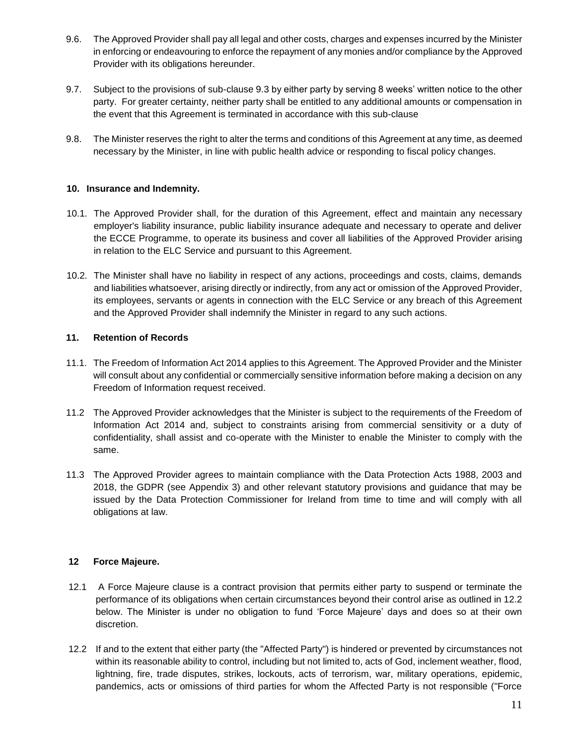- 9.6. The Approved Provider shall pay all legal and other costs, charges and expenses incurred by the Minister in enforcing or endeavouring to enforce the repayment of any monies and/or compliance by the Approved Provider with its obligations hereunder.
- 9.7. Subject to the provisions of sub-clause 9.3 by either party by serving 8 weeks' written notice to the other party. For greater certainty, neither party shall be entitled to any additional amounts or compensation in the event that this Agreement is terminated in accordance with this sub-clause
- 9.8. The Minister reserves the right to alter the terms and conditions of this Agreement at any time, as deemed necessary by the Minister, in line with public health advice or responding to fiscal policy changes.

## **10. Insurance and Indemnity.**

- 10.1. The Approved Provider shall, for the duration of this Agreement, effect and maintain any necessary employer's liability insurance, public liability insurance adequate and necessary to operate and deliver the ECCE Programme, to operate its business and cover all liabilities of the Approved Provider arising in relation to the ELC Service and pursuant to this Agreement.
- 10.2. The Minister shall have no liability in respect of any actions, proceedings and costs, claims, demands and liabilities whatsoever, arising directly or indirectly, from any act or omission of the Approved Provider, its employees, servants or agents in connection with the ELC Service or any breach of this Agreement and the Approved Provider shall indemnify the Minister in regard to any such actions.

### **11. Retention of Records**

- 11.1. The Freedom of Information Act 2014 applies to this Agreement. The Approved Provider and the Minister will consult about any confidential or commercially sensitive information before making a decision on any Freedom of Information request received.
- 11.2 The Approved Provider acknowledges that the Minister is subject to the requirements of the Freedom of Information Act 2014 and, subject to constraints arising from commercial sensitivity or a duty of confidentiality, shall assist and co-operate with the Minister to enable the Minister to comply with the same.
- 11.3 The Approved Provider agrees to maintain compliance with the Data Protection Acts 1988, 2003 and 2018, the GDPR (see Appendix 3) and other relevant statutory provisions and guidance that may be issued by the Data Protection Commissioner for Ireland from time to time and will comply with all obligations at law.

#### **12 Force Majeure.**

- 12.1 A Force Majeure clause is a contract provision that permits either party to suspend or terminate the performance of its obligations when certain circumstances beyond their control arise as outlined in 12.2 below. The Minister is under no obligation to fund 'Force Majeure' days and does so at their own discretion.
- 12.2 If and to the extent that either party (the "Affected Party") is hindered or prevented by circumstances not within its reasonable ability to control, including but not limited to, acts of God, inclement weather, flood, lightning, fire, trade disputes, strikes, lockouts, acts of terrorism, war, military operations, epidemic, pandemics, acts or omissions of third parties for whom the Affected Party is not responsible ("Force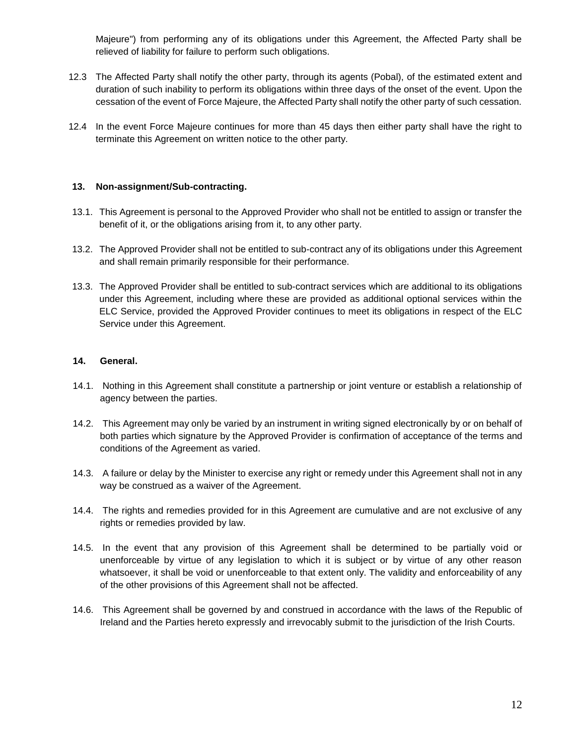Majeure") from performing any of its obligations under this Agreement, the Affected Party shall be relieved of liability for failure to perform such obligations.

- 12.3 The Affected Party shall notify the other party, through its agents (Pobal), of the estimated extent and duration of such inability to perform its obligations within three days of the onset of the event. Upon the cessation of the event of Force Majeure, the Affected Party shall notify the other party of such cessation.
- 12.4 In the event Force Majeure continues for more than 45 days then either party shall have the right to terminate this Agreement on written notice to the other party.

### **13. Non-assignment/Sub-contracting.**

- 13.1. This Agreement is personal to the Approved Provider who shall not be entitled to assign or transfer the benefit of it, or the obligations arising from it, to any other party.
- 13.2. The Approved Provider shall not be entitled to sub-contract any of its obligations under this Agreement and shall remain primarily responsible for their performance.
- 13.3. The Approved Provider shall be entitled to sub-contract services which are additional to its obligations under this Agreement, including where these are provided as additional optional services within the ELC Service, provided the Approved Provider continues to meet its obligations in respect of the ELC Service under this Agreement.

### **14. General.**

- 14.1. Nothing in this Agreement shall constitute a partnership or joint venture or establish a relationship of agency between the parties.
- 14.2. This Agreement may only be varied by an instrument in writing signed electronically by or on behalf of both parties which signature by the Approved Provider is confirmation of acceptance of the terms and conditions of the Agreement as varied.
- 14.3. A failure or delay by the Minister to exercise any right or remedy under this Agreement shall not in any way be construed as a waiver of the Agreement.
- 14.4. The rights and remedies provided for in this Agreement are cumulative and are not exclusive of any rights or remedies provided by law.
- 14.5. In the event that any provision of this Agreement shall be determined to be partially void or unenforceable by virtue of any legislation to which it is subject or by virtue of any other reason whatsoever, it shall be void or unenforceable to that extent only. The validity and enforceability of any of the other provisions of this Agreement shall not be affected.
- 14.6. This Agreement shall be governed by and construed in accordance with the laws of the Republic of Ireland and the Parties hereto expressly and irrevocably submit to the jurisdiction of the Irish Courts.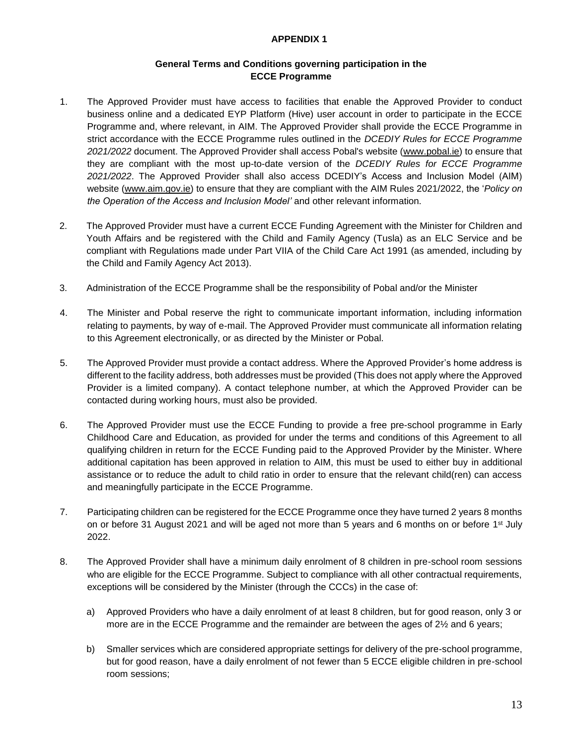### **APPENDIX 1**

# **General Terms and Conditions governing participation in the ECCE Programme**

- 1. The Approved Provider must have access to facilities that enable the Approved Provider to conduct business online and a dedicated EYP Platform (Hive) user account in order to participate in the ECCE Programme and, where relevant, in AIM. The Approved Provider shall provide the ECCE Programme in strict accordance with the ECCE Programme rules outlined in the *DCEDIY Rules for ECCE Programme 2021/2022* document. The Approved Provider shall access Pobal's website [\(www.pobal.ie\)](http://www.pobal.ie/) to ensure that they are compliant with the most up-to-date version of the *DCEDIY Rules for ECCE Programme 2021/2022*. The Approved Provider shall also access DCEDIY's Access and Inclusion Model (AIM) website [\(www.aim.gov.ie\)](http://aim.gov.ie/) to ensure that they are compliant with the AIM Rules 2021/2022, the '*Policy on the Operation of the Access and Inclusion Model'* and other relevant information.
- 2. The Approved Provider must have a current ECCE Funding Agreement with the Minister for Children and Youth Affairs and be registered with the Child and Family Agency (Tusla) as an ELC Service and be compliant with Regulations made under Part VIIA of the Child Care Act 1991 (as amended, including by the Child and Family Agency Act 2013).
- 3. Administration of the ECCE Programme shall be the responsibility of Pobal and/or the Minister
- 4. The Minister and Pobal reserve the right to communicate important information, including information relating to payments, by way of e-mail. The Approved Provider must communicate all information relating to this Agreement electronically, or as directed by the Minister or Pobal.
- 5. The Approved Provider must provide a contact address. Where the Approved Provider's home address is different to the facility address, both addresses must be provided (This does not apply where the Approved Provider is a limited company). A contact telephone number, at which the Approved Provider can be contacted during working hours, must also be provided.
- 6. The Approved Provider must use the ECCE Funding to provide a free pre-school programme in Early Childhood Care and Education, as provided for under the terms and conditions of this Agreement to all qualifying children in return for the ECCE Funding paid to the Approved Provider by the Minister. Where additional capitation has been approved in relation to AIM, this must be used to either buy in additional assistance or to reduce the adult to child ratio in order to ensure that the relevant child(ren) can access and meaningfully participate in the ECCE Programme.
- 7. Participating children can be registered for the ECCE Programme once they have turned 2 years 8 months on or before 31 August 2021 and will be aged not more than 5 years and 6 months on or before 1<sup>st</sup> July 2022.
- 8. The Approved Provider shall have a minimum daily enrolment of 8 children in pre-school room sessions who are eligible for the ECCE Programme. Subject to compliance with all other contractual requirements, exceptions will be considered by the Minister (through the CCCs) in the case of:
	- a) Approved Providers who have a daily enrolment of at least 8 children, but for good reason, only 3 or more are in the ECCE Programme and the remainder are between the ages of 2<sup>1/2</sup> and 6 years;
	- b) Smaller services which are considered appropriate settings for delivery of the pre-school programme, but for good reason, have a daily enrolment of not fewer than 5 ECCE eligible children in pre-school room sessions;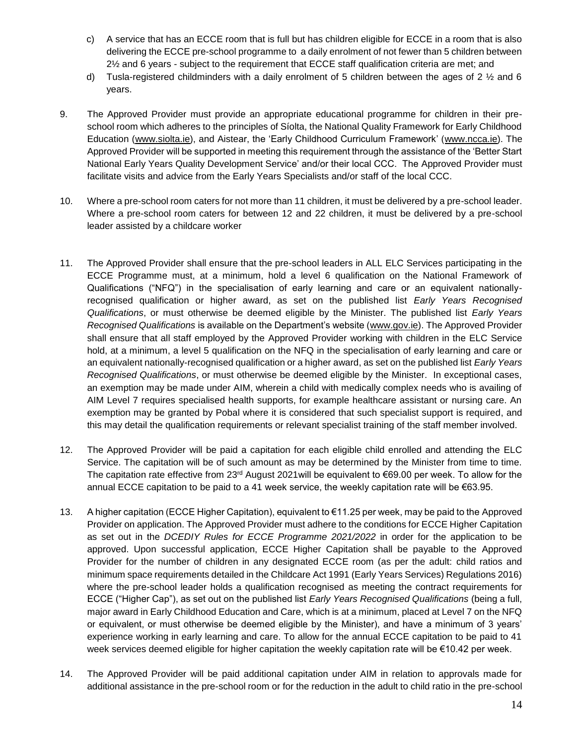- c) A service that has an ECCE room that is full but has children eligible for ECCE in a room that is also delivering the ECCE pre-school programme to a daily enrolment of not fewer than 5 children between 2½ and 6 years - subject to the requirement that ECCE staff qualification criteria are met; and
- d) Tusla-registered childminders with a daily enrolment of 5 children between the ages of 2  $\frac{1}{2}$  and 6 years.
- 9. The Approved Provider must provide an appropriate educational programme for children in their preschool room which adheres to the principles of Síolta, the National Quality Framework for Early Childhood Education [\(www.siolta.ie\)](http://www.siolta.ie/), and Aistear, the 'Early Childhood Curriculum Framework' [\(www.ncca.ie\)](http://www.ncca.ie/). The Approved Provider will be supported in meeting this requirement through the assistance of the 'Better Start National Early Years Quality Development Service' and/or their local CCC. The Approved Provider must facilitate visits and advice from the Early Years Specialists and/or staff of the local CCC.
- 10. Where a pre-school room caters for not more than 11 children, it must be delivered by a pre-school leader. Where a pre-school room caters for between 12 and 22 children, it must be delivered by a pre-school leader assisted by a childcare worker
- 11. The Approved Provider shall ensure that the pre-school leaders in ALL ELC Services participating in the ECCE Programme must, at a minimum, hold a level 6 qualification on the National Framework of Qualifications ("NFQ") in the specialisation of early learning and care or an equivalent nationallyrecognised qualification or higher award, as set on the published list *Early Years Recognised Qualifications*, or must otherwise be deemed eligible by the Minister. The published list *Early Years Recognised Qualifications* is available on the Department's website [\(www.gov.ie\)](https://www.gov.ie/en/organisation/department-of-children-equality-disability-integration-and-youth/). The Approved Provider shall ensure that all staff employed by the Approved Provider working with children in the ELC Service hold, at a minimum, a level 5 qualification on the NFQ in the specialisation of early learning and care or an equivalent nationally-recognised qualification or a higher award, as set on the published list *Early Years Recognised Qualifications*, or must otherwise be deemed eligible by the Minister. In exceptional cases, an exemption may be made under AIM, wherein a child with medically complex needs who is availing of AIM Level 7 requires specialised health supports, for example healthcare assistant or nursing care. An exemption may be granted by Pobal where it is considered that such specialist support is required, and this may detail the qualification requirements or relevant specialist training of the staff member involved.
- 12. The Approved Provider will be paid a capitation for each eligible child enrolled and attending the ELC Service. The capitation will be of such amount as may be determined by the Minister from time to time. The capitation rate effective from  $23^{rd}$  August 2021 will be equivalent to  $\epsilon$ 69.00 per week. To allow for the annual ECCE capitation to be paid to a 41 week service, the weekly capitation rate will be  $\epsilon$ 63.95.
- 13. A higher capitation (ECCE Higher Capitation), equivalent to €11.25 per week, may be paid to the Approved Provider on application. The Approved Provider must adhere to the conditions for ECCE Higher Capitation as set out in the *DCEDIY Rules for ECCE Programme 2021/2022* in order for the application to be approved. Upon successful application, ECCE Higher Capitation shall be payable to the Approved Provider for the number of children in any designated ECCE room (as per the adult: child ratios and minimum space requirements detailed in the Childcare Act 1991 (Early Years Services) Regulations 2016) where the pre-school leader holds a qualification recognised as meeting the contract requirements for ECCE ("Higher Cap"), as set out on the published list *Early Years Recognised Qualifications* (being a full, major award in Early Childhood Education and Care, which is at a minimum, placed at Level 7 on the NFQ or equivalent, or must otherwise be deemed eligible by the Minister), and have a minimum of 3 years' experience working in early learning and care. To allow for the annual ECCE capitation to be paid to 41 week services deemed eligible for higher capitation the weekly capitation rate will be €10.42 per week.
- 14. The Approved Provider will be paid additional capitation under AIM in relation to approvals made for additional assistance in the pre-school room or for the reduction in the adult to child ratio in the pre-school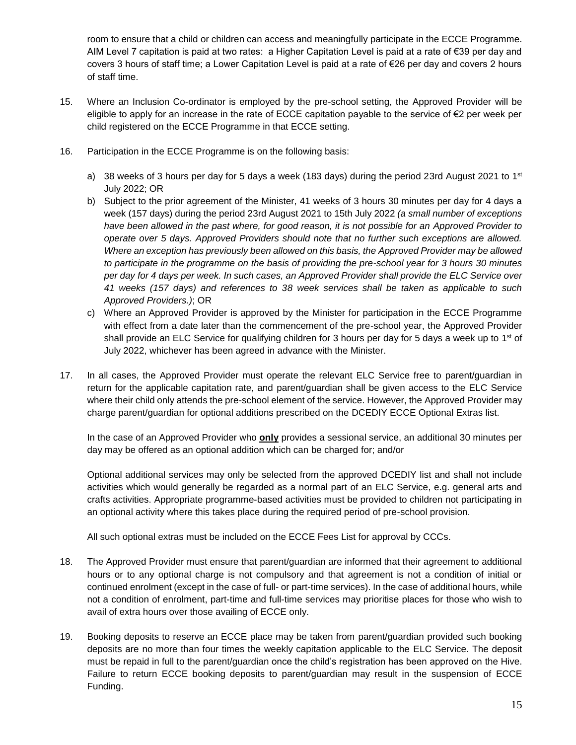room to ensure that a child or children can access and meaningfully participate in the ECCE Programme. AIM Level 7 capitation is paid at two rates: a Higher Capitation Level is paid at a rate of €39 per day and covers 3 hours of staff time; a Lower Capitation Level is paid at a rate of €26 per day and covers 2 hours of staff time.

- 15. Where an Inclusion Co-ordinator is employed by the pre-school setting, the Approved Provider will be eligible to apply for an increase in the rate of ECCE capitation payable to the service of €2 per week per child registered on the ECCE Programme in that ECCE setting.
- 16. Participation in the ECCE Programme is on the following basis:
	- a) 38 weeks of 3 hours per day for 5 days a week (183 days) during the period 23rd August 2021 to 1st July 2022; OR
	- b) Subject to the prior agreement of the Minister, 41 weeks of 3 hours 30 minutes per day for 4 days a week (157 days) during the period 23rd August 2021 to 15th July 2022 *(a small number of exceptions have been allowed in the past where, for good reason, it is not possible for an Approved Provider to operate over 5 days. Approved Providers should note that no further such exceptions are allowed. Where an exception has previously been allowed on this basis, the Approved Provider may be allowed to participate in the programme on the basis of providing the pre-school year for 3 hours 30 minutes per day for 4 days per week. In such cases, an Approved Provider shall provide the ELC Service over 41 weeks (157 days) and references to 38 week services shall be taken as applicable to such Approved Providers.)*; OR
	- c) Where an Approved Provider is approved by the Minister for participation in the ECCE Programme with effect from a date later than the commencement of the pre-school year, the Approved Provider shall provide an ELC Service for qualifying children for 3 hours per day for 5 days a week up to 1st of July 2022, whichever has been agreed in advance with the Minister.
- 17. In all cases, the Approved Provider must operate the relevant ELC Service free to parent/guardian in return for the applicable capitation rate, and parent/guardian shall be given access to the ELC Service where their child only attends the pre-school element of the service. However, the Approved Provider may charge parent/guardian for optional additions prescribed on the DCEDIY ECCE Optional Extras list.

In the case of an Approved Provider who **only** provides a sessional service, an additional 30 minutes per day may be offered as an optional addition which can be charged for; and/or

Optional additional services may only be selected from the approved DCEDIY list and shall not include activities which would generally be regarded as a normal part of an ELC Service, e.g. general arts and crafts activities. Appropriate programme-based activities must be provided to children not participating in an optional activity where this takes place during the required period of pre-school provision.

All such optional extras must be included on the ECCE Fees List for approval by CCCs.

- 18. The Approved Provider must ensure that parent/guardian are informed that their agreement to additional hours or to any optional charge is not compulsory and that agreement is not a condition of initial or continued enrolment (except in the case of full- or part-time services). In the case of additional hours, while not a condition of enrolment, part-time and full-time services may prioritise places for those who wish to avail of extra hours over those availing of ECCE only.
- 19. Booking deposits to reserve an ECCE place may be taken from parent/guardian provided such booking deposits are no more than four times the weekly capitation applicable to the ELC Service. The deposit must be repaid in full to the parent/guardian once the child's registration has been approved on the Hive. Failure to return ECCE booking deposits to parent/guardian may result in the suspension of ECCE Funding.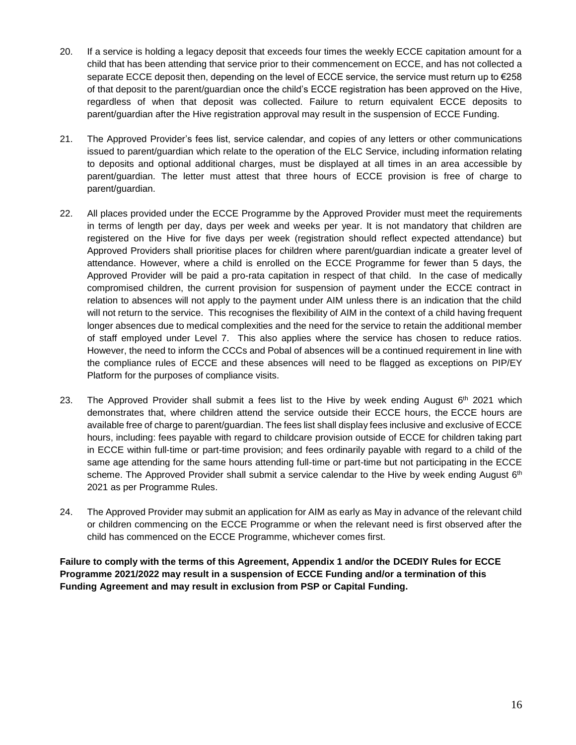- 20. If a service is holding a legacy deposit that exceeds four times the weekly ECCE capitation amount for a child that has been attending that service prior to their commencement on ECCE, and has not collected a separate ECCE deposit then, depending on the level of ECCE service, the service must return up to €258 of that deposit to the parent/guardian once the child's ECCE registration has been approved on the Hive, regardless of when that deposit was collected. Failure to return equivalent ECCE deposits to parent/guardian after the Hive registration approval may result in the suspension of ECCE Funding.
- 21. The Approved Provider's fees list, service calendar, and copies of any letters or other communications issued to parent/guardian which relate to the operation of the ELC Service, including information relating to deposits and optional additional charges, must be displayed at all times in an area accessible by parent/guardian. The letter must attest that three hours of ECCE provision is free of charge to parent/guardian.
- 22. All places provided under the ECCE Programme by the Approved Provider must meet the requirements in terms of length per day, days per week and weeks per year. It is not mandatory that children are registered on the Hive for five days per week (registration should reflect expected attendance) but Approved Providers shall prioritise places for children where parent/guardian indicate a greater level of attendance. However, where a child is enrolled on the ECCE Programme for fewer than 5 days, the Approved Provider will be paid a pro-rata capitation in respect of that child. In the case of medically compromised children, the current provision for suspension of payment under the ECCE contract in relation to absences will not apply to the payment under AIM unless there is an indication that the child will not return to the service. This recognises the flexibility of AIM in the context of a child having frequent longer absences due to medical complexities and the need for the service to retain the additional member of staff employed under Level 7. This also applies where the service has chosen to reduce ratios. However, the need to inform the CCCs and Pobal of absences will be a continued requirement in line with the compliance rules of ECCE and these absences will need to be flagged as exceptions on PIP/EY Platform for the purposes of compliance visits.
- 23. The Approved Provider shall submit a fees list to the Hive by week ending August  $6<sup>th</sup>$  2021 which demonstrates that, where children attend the service outside their ECCE hours, the ECCE hours are available free of charge to parent/guardian. The fees list shall display fees inclusive and exclusive of ECCE hours, including: fees payable with regard to childcare provision outside of ECCE for children taking part in ECCE within full-time or part-time provision; and fees ordinarily payable with regard to a child of the same age attending for the same hours attending full-time or part-time but not participating in the ECCE scheme. The Approved Provider shall submit a service calendar to the Hive by week ending August 6<sup>th</sup> 2021 as per Programme Rules.
- 24. The Approved Provider may submit an application for AIM as early as May in advance of the relevant child or children commencing on the ECCE Programme or when the relevant need is first observed after the child has commenced on the ECCE Programme, whichever comes first.

**Failure to comply with the terms of this Agreement, Appendix 1 and/or the DCEDIY Rules for ECCE Programme 2021/2022 may result in a suspension of ECCE Funding and/or a termination of this Funding Agreement and may result in exclusion from PSP or Capital Funding.**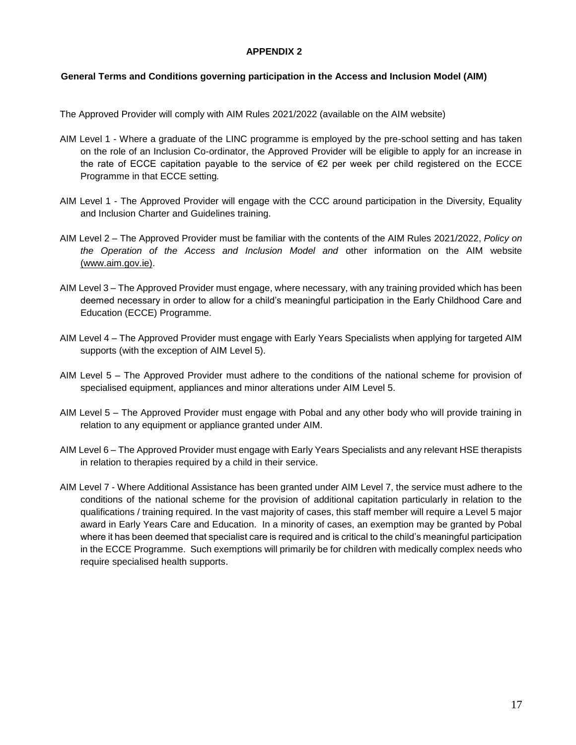#### **APPENDIX 2**

### **General Terms and Conditions governing participation in the Access and Inclusion Model (AIM)**

The Approved Provider will comply with AIM Rules 2021/2022 (available on the AIM website)

- AIM Level 1 Where a graduate of the LINC programme is employed by the pre-school setting and has taken on the role of an Inclusion Co-ordinator, the Approved Provider will be eligible to apply for an increase in the rate of ECCE capitation payable to the service of €2 per week per child registered on the ECCE Programme in that ECCE setting*.*
- AIM Level 1 The Approved Provider will engage with the CCC around participation in the Diversity, Equality and Inclusion Charter and Guidelines training.
- AIM Level 2 The Approved Provider must be familiar with the contents of the AIM Rules 2021/2022, *Policy on the Operation of the Access and Inclusion Model and* other information on the AIM website [\(www.aim.gov.ie\).](http://www.aim.gov.ie/)
- AIM Level 3 The Approved Provider must engage, where necessary, with any training provided which has been deemed necessary in order to allow for a child's meaningful participation in the Early Childhood Care and Education (ECCE) Programme.
- AIM Level 4 The Approved Provider must engage with Early Years Specialists when applying for targeted AIM supports (with the exception of AIM Level 5).
- AIM Level 5 The Approved Provider must adhere to the conditions of the national scheme for provision of specialised equipment, appliances and minor alterations under AIM Level 5.
- AIM Level 5 The Approved Provider must engage with Pobal and any other body who will provide training in relation to any equipment or appliance granted under AIM.
- AIM Level 6 The Approved Provider must engage with Early Years Specialists and any relevant HSE therapists in relation to therapies required by a child in their service.
- AIM Level 7 Where Additional Assistance has been granted under AIM Level 7, the service must adhere to the conditions of the national scheme for the provision of additional capitation particularly in relation to the qualifications / training required. In the vast majority of cases, this staff member will require a Level 5 major award in Early Years Care and Education. In a minority of cases, an exemption may be granted by Pobal where it has been deemed that specialist care is required and is critical to the child's meaningful participation in the ECCE Programme. Such exemptions will primarily be for children with medically complex needs who require specialised health supports.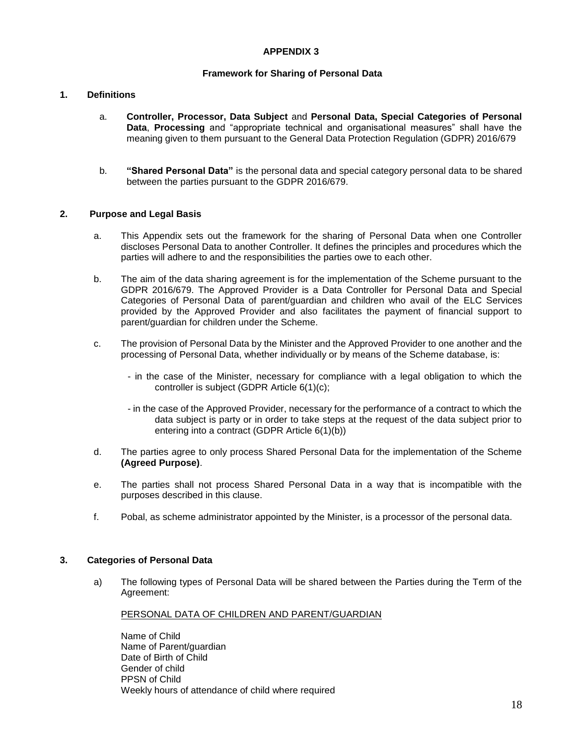### **APPENDIX 3**

### **Framework for Sharing of Personal Data**

#### **1. Definitions**

- a. **Controller, Processor, Data Subject** and **Personal Data, Special Categories of Personal Data**, **Processing** and "appropriate technical and organisational measures" shall have the meaning given to them pursuant to the General Data Protection Regulation (GDPR) 2016/679
- b. **"Shared Personal Data"** is the personal data and special category personal data to be shared between the parties pursuant to the GDPR 2016/679.

#### **2. Purpose and Legal Basis**

- a. This Appendix sets out the framework for the sharing of Personal Data when one Controller discloses Personal Data to another Controller. It defines the principles and procedures which the parties will adhere to and the responsibilities the parties owe to each other.
- b. The aim of the data sharing agreement is for the implementation of the Scheme pursuant to the GDPR 2016/679. The Approved Provider is a Data Controller for Personal Data and Special Categories of Personal Data of parent/guardian and children who avail of the ELC Services provided by the Approved Provider and also facilitates the payment of financial support to parent/guardian for children under the Scheme.
- c. The provision of Personal Data by the Minister and the Approved Provider to one another and the processing of Personal Data, whether individually or by means of the Scheme database, is:
	- in the case of the Minister, necessary for compliance with a legal obligation to which the controller is subject (GDPR Article 6(1)(c);
	- in the case of the Approved Provider, necessary for the performance of a contract to which the data subject is party or in order to take steps at the request of the data subject prior to entering into a contract (GDPR Article 6(1)(b))
- d. The parties agree to only process Shared Personal Data for the implementation of the Scheme **(Agreed Purpose)**.
- e. The parties shall not process Shared Personal Data in a way that is incompatible with the purposes described in this clause.
- f. Pobal, as scheme administrator appointed by the Minister, is a processor of the personal data.

#### **3. Categories of Personal Data**

a) The following types of Personal Data will be shared between the Parties during the Term of the Agreement:

#### PERSONAL DATA OF CHILDREN AND PARENT/GUARDIAN

Name of Child Name of Parent/guardian Date of Birth of Child Gender of child PPSN of Child Weekly hours of attendance of child where required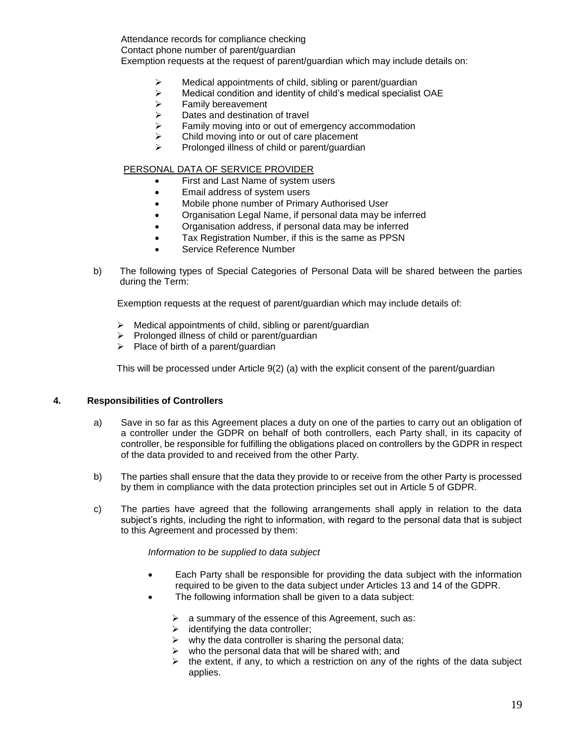Attendance records for compliance checking Contact phone number of parent/guardian Exemption requests at the request of parent/guardian which may include details on:

- $\geq$  Medical appointments of child, sibling or parent/guardian  $\geq$  Medical condition and identity of child's medical specialist
- Medical condition and identity of child's medical specialist OAE
- $\geq$  Family bereavement<br> $\geq$  Dates and destination
- $\geq$  Dates and destination of travel<br> $\geq$  Family moving into or out of em
- Family moving into or out of emergency accommodation
- $\triangleright$  Child moving into or out of care placement
- $\triangleright$  Prolonged illness of child or parent/guardian

#### PERSONAL DATA OF SERVICE PROVIDER

- First and Last Name of system users
- Email address of system users
- Mobile phone number of Primary Authorised User
- Organisation Legal Name, if personal data may be inferred
- Organisation address, if personal data may be inferred
- Tax Registration Number, if this is the same as PPSN
- Service Reference Number
- b) The following types of Special Categories of Personal Data will be shared between the parties during the Term:

Exemption requests at the request of parent/guardian which may include details of:

- $\triangleright$  Medical appointments of child, sibling or parent/guardian
- $\triangleright$  Prolonged illness of child or parent/guardian
- $\triangleright$  Place of birth of a parent/guardian

This will be processed under Article 9(2) (a) with the explicit consent of the parent/guardian

#### **4. Responsibilities of Controllers**

- a) Save in so far as this Agreement places a duty on one of the parties to carry out an obligation of a controller under the GDPR on behalf of both controllers, each Party shall, in its capacity of controller, be responsible for fulfilling the obligations placed on controllers by the GDPR in respect of the data provided to and received from the other Party.
- b) The parties shall ensure that the data they provide to or receive from the other Party is processed by them in compliance with the data protection principles set out in Article 5 of GDPR.
- c) The parties have agreed that the following arrangements shall apply in relation to the data subject's rights, including the right to information, with regard to the personal data that is subject to this Agreement and processed by them:

#### *Information to be supplied to data subject*

- Each Party shall be responsible for providing the data subject with the information required to be given to the data subject under Articles 13 and 14 of the GDPR.
- The following information shall be given to a data subject:
	- $\triangleright$  a summary of the essence of this Agreement, such as:
	- $\triangleright$  identifying the data controller;
	- $\triangleright$  why the data controller is sharing the personal data;
	- who the personal data that will be shared with; and
	- $\triangleright$  the extent, if any, to which a restriction on any of the rights of the data subject applies.